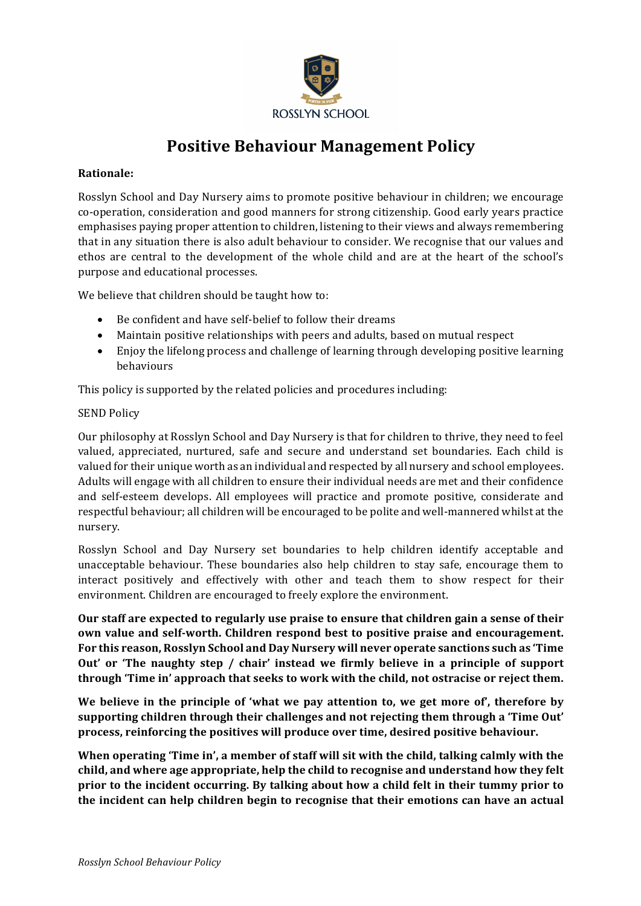

# **Positive Behaviour Management Policy**

## **Rationale:**

Rosslyn School and Day Nursery aims to promote positive behaviour in children; we encourage co-operation, consideration and good manners for strong citizenship. Good early years practice emphasises paying proper attention to children, listening to their views and always remembering that in any situation there is also adult behaviour to consider. We recognise that our values and ethos are central to the development of the whole child and are at the heart of the school's purpose and educational processes.

We believe that children should be taught how to:

- $\bullet$  Be confident and have self-belief to follow their dreams
- Maintain positive relationships with peers and adults, based on mutual respect
- Enjoy the lifelong process and challenge of learning through developing positive learning behaviours

This policy is supported by the related policies and procedures including:

#### **SEND Policy**

Our philosophy at Rosslyn School and Day Nursery is that for children to thrive, they need to feel valued, appreciated, nurtured, safe and secure and understand set boundaries. Each child is valued for their unique worth as an individual and respected by all nursery and school employees. Adults will engage with all children to ensure their individual needs are met and their confidence and self-esteem develops. All employees will practice and promote positive, considerate and respectful behaviour; all children will be encouraged to be polite and well-mannered whilst at the nursery. 

Rosslyn School and Day Nursery set boundaries to help children identify acceptable and unacceptable behaviour. These boundaries also help children to stay safe, encourage them to interact positively and effectively with other and teach them to show respect for their environment. Children are encouraged to freely explore the environment.

Our staff are expected to regularly use praise to ensure that children gain a sense of their **own value and self-worth. Children respond best to positive praise and encouragement.** For this reason, Rosslyn School and Day Nursery will never operate sanctions such as 'Time Out' or 'The naughty step / chair' instead we firmly believe in a principle of support **through 'Time in' approach that seeks to work with the child, not ostracise or reject them.** 

We believe in the principle of 'what we pay attention to, we get more of', therefore by supporting children through their challenges and not rejecting them through a 'Time Out' process, reinforcing the positives will produce over time, desired positive behaviour.

**When operating 'Time in', a member of staff will sit with the child, talking calmly with the** child, and where age appropriate, help the child to recognise and understand how they felt **prior** to the incident occurring. By talking about how a child felt in their tummy prior to the incident can help children begin to recognise that their emotions can have an actual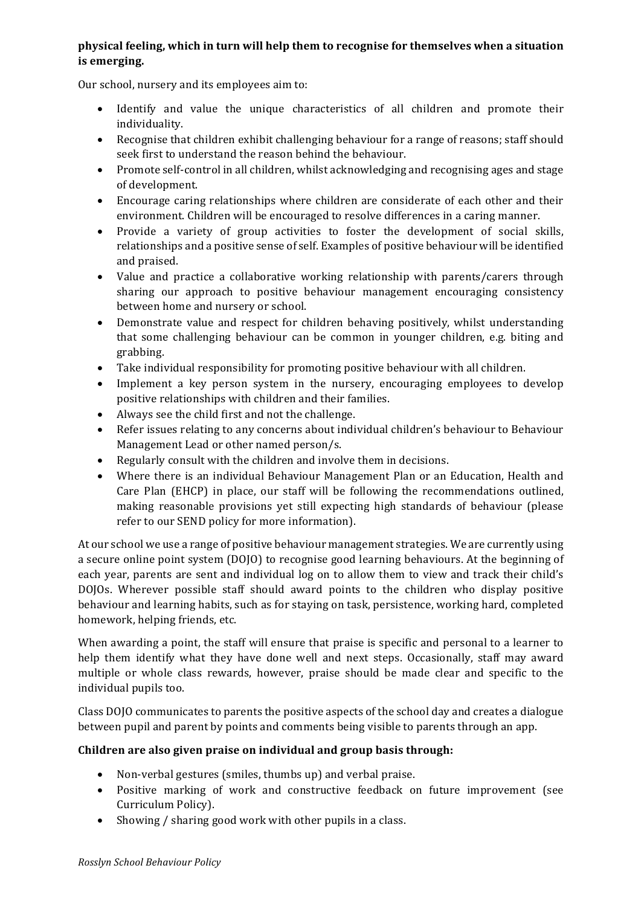# physical feeling, which in turn will help them to recognise for themselves when a situation is emerging.

Our school, nursery and its employees aim to:

- Identify and value the unique characteristics of all children and promote their individuality.
- Recognise that children exhibit challenging behaviour for a range of reasons; staff should seek first to understand the reason behind the behaviour.
- Promote self-control in all children, whilst acknowledging and recognising ages and stage of development.
- Encourage caring relationships where children are considerate of each other and their environment. Children will be encouraged to resolve differences in a caring manner.
- Provide a variety of group activities to foster the development of social skills, relationships and a positive sense of self. Examples of positive behaviour will be identified and praised.
- Value and practice a collaborative working relationship with parents/carers through sharing our approach to positive behaviour management encouraging consistency between home and nursery or school.
- Demonstrate value and respect for children behaving positively, whilst understanding that some challenging behaviour can be common in younger children, e.g. biting and grabbing.
- Take individual responsibility for promoting positive behaviour with all children.
- Implement a key person system in the nursery, encouraging employees to develop positive relationships with children and their families.
- Always see the child first and not the challenge.
- Refer issues relating to any concerns about individual children's behaviour to Behaviour Management Lead or other named person/s.
- Regularly consult with the children and involve them in decisions.
- Where there is an individual Behaviour Management Plan or an Education, Health and Care Plan (EHCP) in place, our staff will be following the recommendations outlined, making reasonable provisions yet still expecting high standards of behaviour (please refer to our SEND policy for more information).

At our school we use a range of positive behaviour management strategies. We are currently using a secure online point system (DOJO) to recognise good learning behaviours. At the beginning of each year, parents are sent and individual log on to allow them to view and track their child's DOJOs. Wherever possible staff should award points to the children who display positive behaviour and learning habits, such as for staying on task, persistence, working hard, completed homework, helping friends, etc.

When awarding a point, the staff will ensure that praise is specific and personal to a learner to help them identify what they have done well and next steps. Occasionally, staff may award multiple or whole class rewards, however, praise should be made clear and specific to the individual pupils too.

Class DOJO communicates to parents the positive aspects of the school day and creates a dialogue between pupil and parent by points and comments being visible to parents through an app.

# Children are also given praise on individual and group basis through:

- Non-verbal gestures (smiles, thumbs up) and verbal praise.
- Positive marking of work and constructive feedback on future improvement (see Curriculum Policy).
- Showing / sharing good work with other pupils in a class.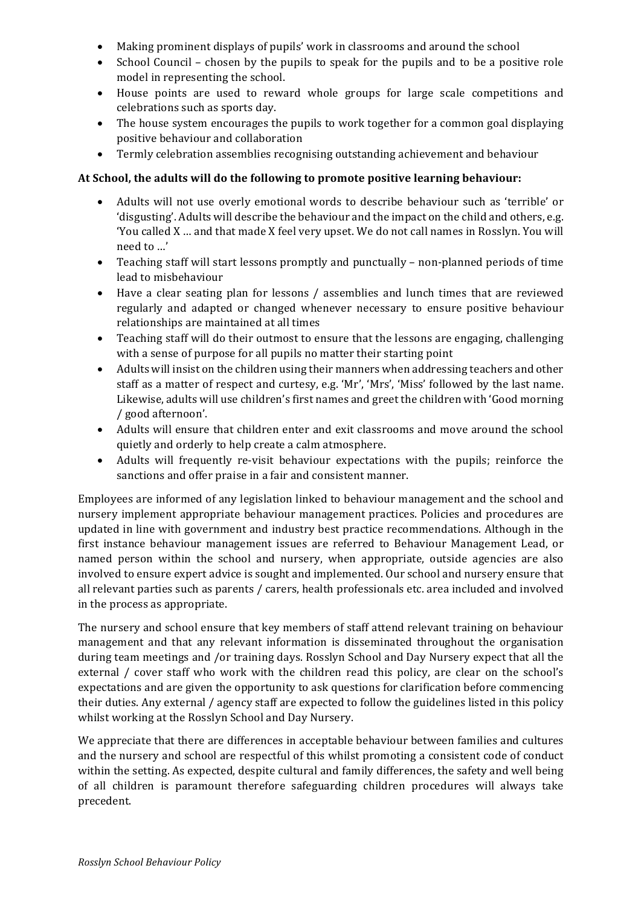- Making prominent displays of pupils' work in classrooms and around the school
- School Council chosen by the pupils to speak for the pupils and to be a positive role model in representing the school.
- House points are used to reward whole groups for large scale competitions and celebrations such as sports day.
- The house system encourages the pupils to work together for a common goal displaying positive behaviour and collaboration
- Termly celebration assemblies recognising outstanding achievement and behaviour

## At School, the adults will do the following to promote positive learning behaviour:

- Adults will not use overly emotional words to describe behaviour such as 'terrible' or 'disgusting'. Adults will describe the behaviour and the impact on the child and others, e.g. 'You called X ... and that made X feel very upset. We do not call names in Rosslyn. You will need to ...'
- Teaching staff will start lessons promptly and punctually non-planned periods of time lead to misbehaviour
- Have a clear seating plan for lessons / assemblies and lunch times that are reviewed regularly and adapted or changed whenever necessary to ensure positive behaviour relationships are maintained at all times
- Teaching staff will do their outmost to ensure that the lessons are engaging, challenging with a sense of purpose for all pupils no matter their starting point
- Adults will insist on the children using their manners when addressing teachers and other staff as a matter of respect and curtesy, e.g. 'Mr', 'Mrs', 'Miss' followed by the last name. Likewise, adults will use children's first names and greet the children with 'Good morning / good afternoon'.
- Adults will ensure that children enter and exit classrooms and move around the school quietly and orderly to help create a calm atmosphere.
- Adults will frequently re-visit behaviour expectations with the pupils; reinforce the sanctions and offer praise in a fair and consistent manner.

Employees are informed of any legislation linked to behaviour management and the school and nursery implement appropriate behaviour management practices. Policies and procedures are updated in line with government and industry best practice recommendations. Although in the first instance behaviour management issues are referred to Behaviour Management Lead, or named person within the school and nursery, when appropriate, outside agencies are also involved to ensure expert advice is sought and implemented. Our school and nursery ensure that all relevant parties such as parents / carers, health professionals etc. area included and involved in the process as appropriate.

The nursery and school ensure that key members of staff attend relevant training on behaviour management and that any relevant information is disseminated throughout the organisation during team meetings and /or training days. Rosslyn School and Day Nursery expect that all the external / cover staff who work with the children read this policy, are clear on the school's expectations and are given the opportunity to ask questions for clarification before commencing their duties. Any external / agency staff are expected to follow the guidelines listed in this policy whilst working at the Rosslyn School and Day Nursery.

We appreciate that there are differences in acceptable behaviour between families and cultures and the nursery and school are respectful of this whilst promoting a consistent code of conduct within the setting. As expected, despite cultural and family differences, the safety and well being of all children is paramount therefore safeguarding children procedures will always take precedent.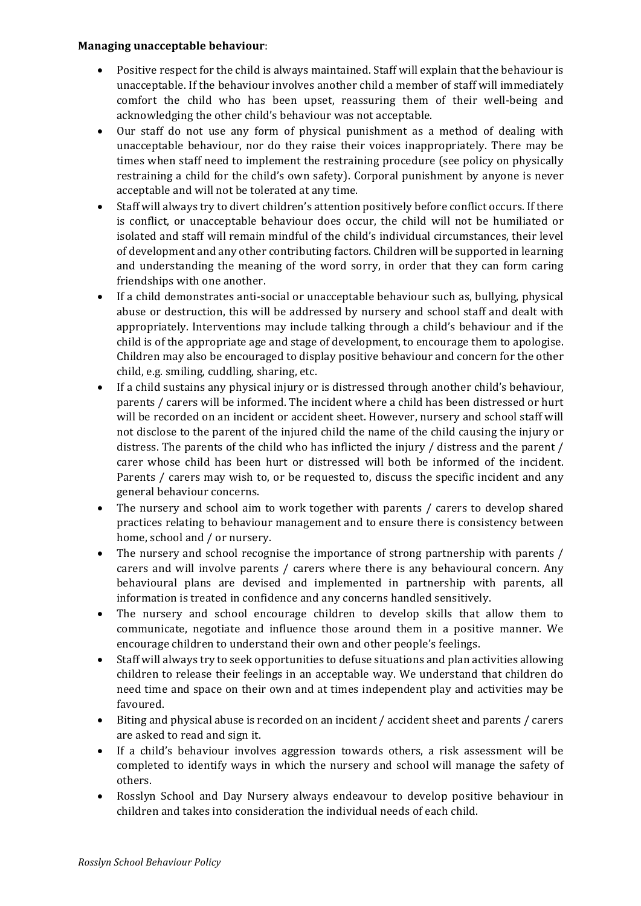#### **Managing unacceptable behaviour:**

- Positive respect for the child is always maintained. Staff will explain that the behaviour is unacceptable. If the behaviour involves another child a member of staff will immediately comfort the child who has been upset, reassuring them of their well-being and acknowledging the other child's behaviour was not acceptable.
- Our staff do not use any form of physical punishment as a method of dealing with unacceptable behaviour, nor do they raise their voices inappropriately. There may be times when staff need to implement the restraining procedure (see policy on physically restraining a child for the child's own safety). Corporal punishment by anyone is never acceptable and will not be tolerated at any time.
- Staff will always try to divert children's attention positively before conflict occurs. If there is conflict, or unacceptable behaviour does occur, the child will not be humiliated or isolated and staff will remain mindful of the child's individual circumstances, their level of development and any other contributing factors. Children will be supported in learning and understanding the meaning of the word sorry, in order that they can form caring friendships with one another.
- If a child demonstrates anti-social or unacceptable behaviour such as, bullying, physical abuse or destruction, this will be addressed by nursery and school staff and dealt with appropriately. Interventions may include talking through a child's behaviour and if the child is of the appropriate age and stage of development, to encourage them to apologise. Children may also be encouraged to display positive behaviour and concern for the other child, e.g. smiling, cuddling, sharing, etc.
- If a child sustains any physical injury or is distressed through another child's behaviour, parents / carers will be informed. The incident where a child has been distressed or hurt will be recorded on an incident or accident sheet. However, nursery and school staff will not disclose to the parent of the injured child the name of the child causing the injury or distress. The parents of the child who has inflicted the injury  $/$  distress and the parent  $/$ carer whose child has been hurt or distressed will both be informed of the incident. Parents / carers may wish to, or be requested to, discuss the specific incident and any general behaviour concerns.
- The nursery and school aim to work together with parents / carers to develop shared practices relating to behaviour management and to ensure there is consistency between home, school and / or nursery.
- The nursery and school recognise the importance of strong partnership with parents / carers and will involve parents / carers where there is any behavioural concern. Any behavioural plans are devised and implemented in partnership with parents, all information is treated in confidence and any concerns handled sensitively.
- The nursery and school encourage children to develop skills that allow them to communicate, negotiate and influence those around them in a positive manner. We encourage children to understand their own and other people's feelings.
- Staff will always try to seek opportunities to defuse situations and plan activities allowing children to release their feelings in an acceptable way. We understand that children do need time and space on their own and at times independent play and activities may be favoured.
- Biting and physical abuse is recorded on an incident / accident sheet and parents / carers are asked to read and sign it.
- If a child's behaviour involves aggression towards others, a risk assessment will be completed to identify ways in which the nursery and school will manage the safety of others.
- Rosslyn School and Day Nursery always endeavour to develop positive behaviour in children and takes into consideration the individual needs of each child.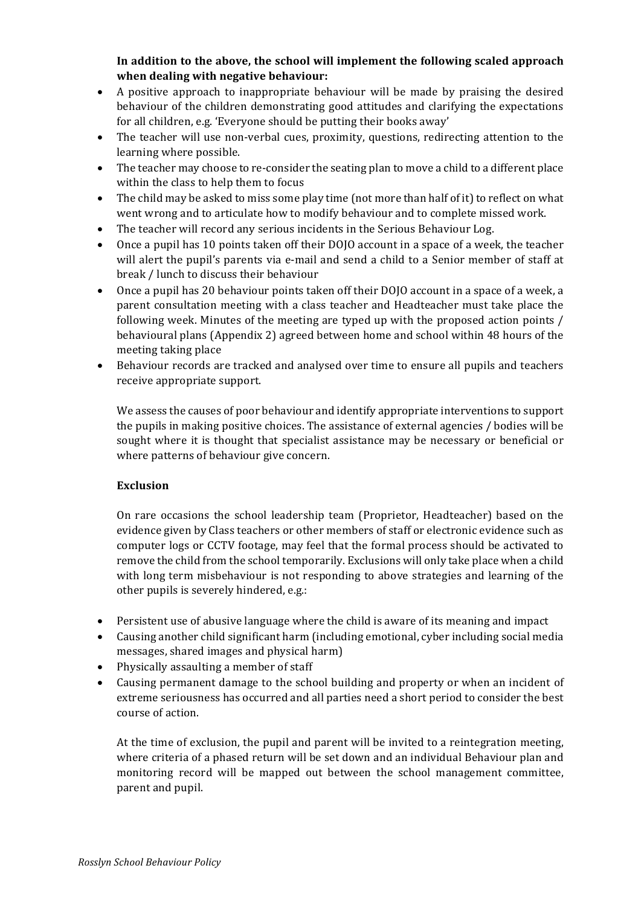In addition to the above, the school will implement the following scaled approach **when dealing with negative behaviour:** 

- A positive approach to inappropriate behaviour will be made by praising the desired behaviour of the children demonstrating good attitudes and clarifying the expectations for all children, e.g. 'Everyone should be putting their books away'
- The teacher will use non-verbal cues, proximity, questions, redirecting attention to the learning where possible.
- The teacher may choose to re-consider the seating plan to move a child to a different place within the class to help them to focus
- The child may be asked to miss some play time (not more than half of it) to reflect on what went wrong and to articulate how to modify behaviour and to complete missed work.
- The teacher will record any serious incidents in the Serious Behaviour Log.
- Once a pupil has 10 points taken off their DOJO account in a space of a week, the teacher will alert the pupil's parents via e-mail and send a child to a Senior member of staff at break / lunch to discuss their behaviour
- Once a pupil has 20 behaviour points taken off their DOJO account in a space of a week, a parent consultation meeting with a class teacher and Headteacher must take place the following week. Minutes of the meeting are typed up with the proposed action points / behavioural plans (Appendix 2) agreed between home and school within 48 hours of the meeting taking place
- Behaviour records are tracked and analysed over time to ensure all pupils and teachers receive appropriate support.

We assess the causes of poor behaviour and identify appropriate interventions to support the pupils in making positive choices. The assistance of external agencies / bodies will be sought where it is thought that specialist assistance may be necessary or beneficial or where patterns of behaviour give concern.

#### **Exclusion**

On rare occasions the school leadership team (Proprietor, Headteacher) based on the evidence given by Class teachers or other members of staff or electronic evidence such as computer logs or CCTV footage, may feel that the formal process should be activated to remove the child from the school temporarily. Exclusions will only take place when a child with long term misbehaviour is not responding to above strategies and learning of the other pupils is severely hindered, e.g.:

- Persistent use of abusive language where the child is aware of its meaning and impact
- Causing another child significant harm (including emotional, cyber including social media messages, shared images and physical harm)
- Physically assaulting a member of staff
- Causing permanent damage to the school building and property or when an incident of extreme seriousness has occurred and all parties need a short period to consider the best course of action.

At the time of exclusion, the pupil and parent will be invited to a reintegration meeting, where criteria of a phased return will be set down and an individual Behaviour plan and monitoring record will be mapped out between the school management committee, parent and pupil.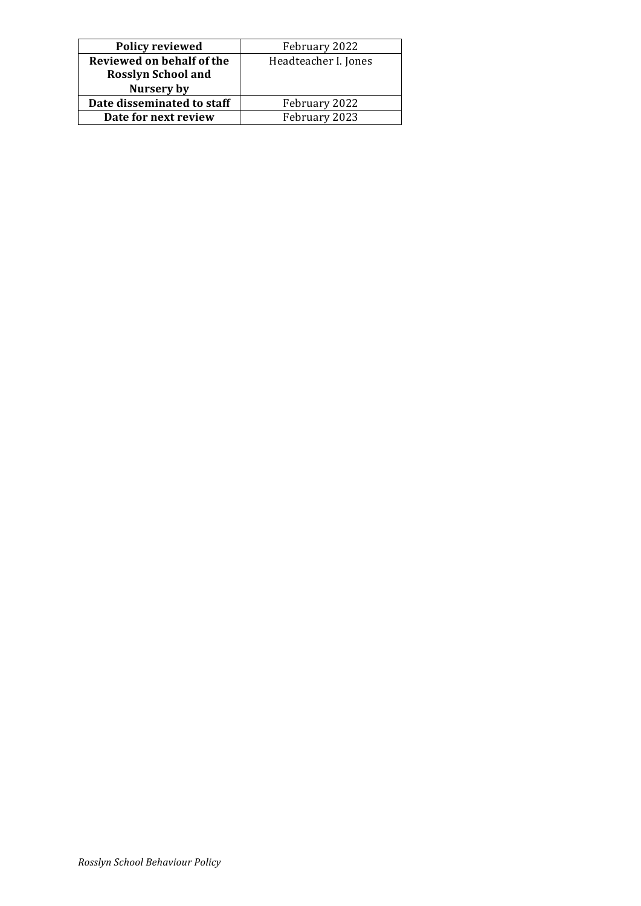| <b>Policy reviewed</b>     | February 2022        |  |
|----------------------------|----------------------|--|
| Reviewed on behalf of the  | Headteacher I. Jones |  |
| <b>Rosslyn School and</b>  |                      |  |
| Nursery by                 |                      |  |
| Date disseminated to staff | February 2022        |  |
| Date for next review       | February 2023        |  |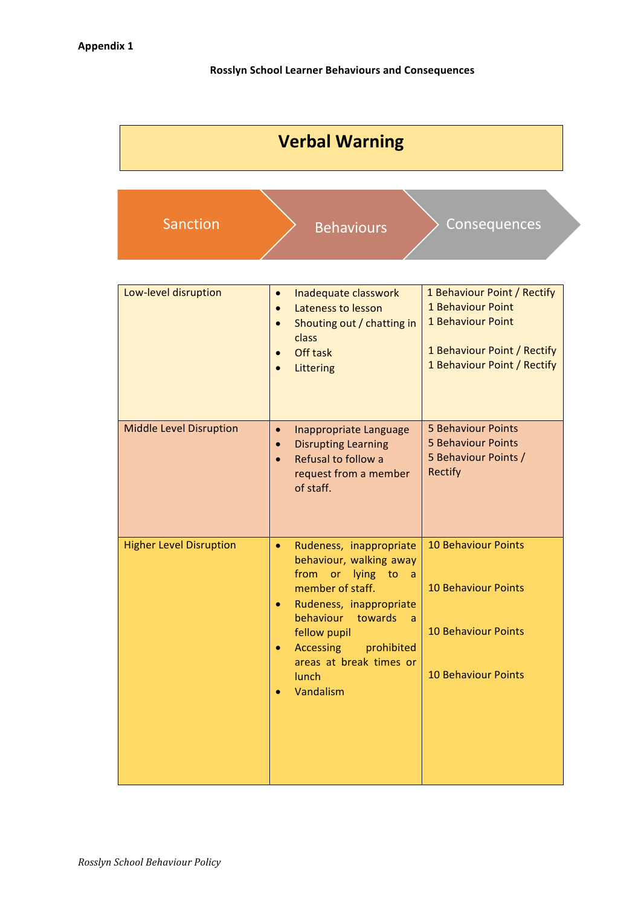| <b>Verbal Warning</b>          |                                                                                                                                                                                                                                                                                                            |                                                                                                                                     |  |  |  |
|--------------------------------|------------------------------------------------------------------------------------------------------------------------------------------------------------------------------------------------------------------------------------------------------------------------------------------------------------|-------------------------------------------------------------------------------------------------------------------------------------|--|--|--|
| <b>Sanction</b>                | <b>Behaviours</b>                                                                                                                                                                                                                                                                                          | Consequences                                                                                                                        |  |  |  |
| Low-level disruption           | Inadequate classwork<br>$\bullet$<br>Lateness to lesson<br>Shouting out / chatting in<br>class<br>Off task<br>$\bullet$<br>Littering                                                                                                                                                                       | 1 Behaviour Point / Rectify<br>1 Behaviour Point<br>1 Behaviour Point<br>1 Behaviour Point / Rectify<br>1 Behaviour Point / Rectify |  |  |  |
| <b>Middle Level Disruption</b> | Inappropriate Language<br>$\bullet$<br><b>Disrupting Learning</b><br>Refusal to follow a<br>request from a member<br>of staff.                                                                                                                                                                             | <b>5 Behaviour Points</b><br><b>5 Behaviour Points</b><br>5 Behaviour Points /<br>Rectify                                           |  |  |  |
| <b>Higher Level Disruption</b> | Rudeness, inappropriate<br>$\bullet$<br>behaviour, walking away<br>from or lying to a<br>member of staff.<br>$\bullet$<br>Rudeness, inappropriate<br>behaviour towards<br>- a<br>fellow pupil<br>Accessing<br>prohibited<br>$\bullet$<br>areas at break times or<br><b>lunch</b><br>Vandalism<br>$\bullet$ | <b>10 Behaviour Points</b><br><b>10 Behaviour Points</b><br><b>10 Behaviour Points</b><br><b>10 Behaviour Points</b>                |  |  |  |
|                                |                                                                                                                                                                                                                                                                                                            |                                                                                                                                     |  |  |  |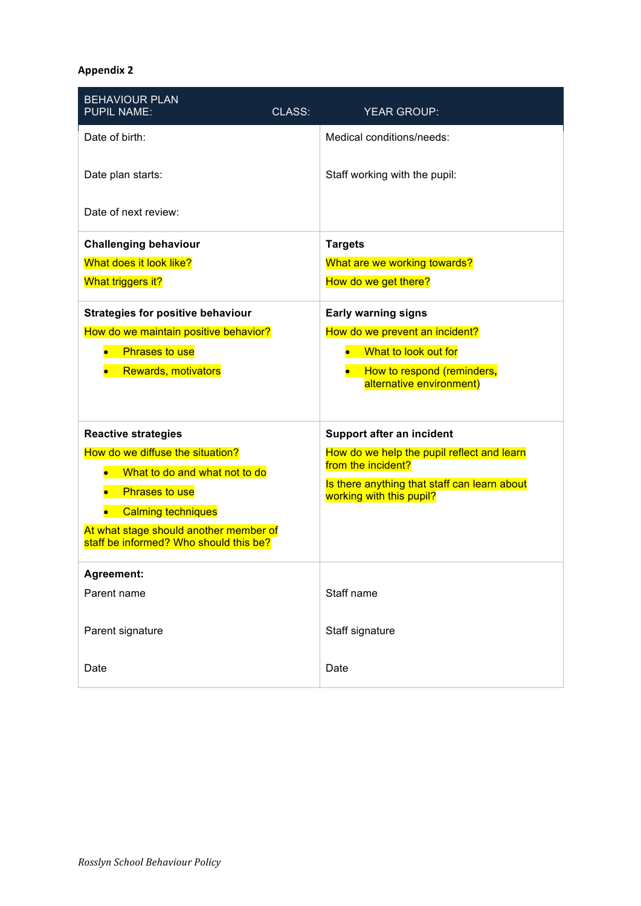# **Appendix 2**

| <b>BEHAVIOUR PLAN</b><br><b>PUPIL NAME:</b>                                      | CLASS: | <b>YEAR GROUP:</b>                                               |
|----------------------------------------------------------------------------------|--------|------------------------------------------------------------------|
| Date of birth:                                                                   |        | Medical conditions/needs:                                        |
| Date plan starts:                                                                |        | Staff working with the pupil:                                    |
| Date of next review:                                                             |        |                                                                  |
| <b>Challenging behaviour</b>                                                     |        | <b>Targets</b>                                                   |
| What does it look like?                                                          |        | What are we working towards?                                     |
| What triggers it?                                                                |        | How do we get there?                                             |
| <b>Strategies for positive behaviour</b>                                         |        | <b>Early warning signs</b>                                       |
| How do we maintain positive behavior?                                            |        | How do we prevent an incident?                                   |
| <b>Phrases to use</b><br>$\bullet$                                               |        | What to look out for<br>$\bullet$                                |
| <b>Rewards, motivators</b>                                                       |        | How to respond (reminders,<br>alternative environment)           |
| <b>Reactive strategies</b>                                                       |        | <b>Support after an incident</b>                                 |
| How do we diffuse the situation?                                                 |        | How do we help the pupil reflect and learn<br>from the incident? |
| What to do and what not to do                                                    |        | Is there anything that staff can learn about                     |
| <b>Phrases to use</b>                                                            |        | working with this pupil?                                         |
| <b>Calming techniques</b>                                                        |        |                                                                  |
| At what stage should another member of<br>staff be informed? Who should this be? |        |                                                                  |
| <b>Agreement:</b>                                                                |        |                                                                  |
| Parent name                                                                      |        | Staff name                                                       |
| Parent signature                                                                 |        | Staff signature                                                  |
| Date                                                                             |        | Date                                                             |